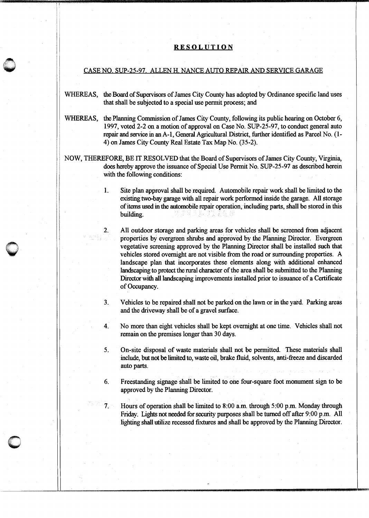## **RESOLUTION**

## CASE NO. SUP-25-97. ALLEN H. NANCE AUTO REPAIR AND SERVICE GARAGE

- WHEREAS, the Board of Supervisors of James City County has adopted by Ordinance specific land uses that shall be subjected to a special use permit process; and
- WHEREAS, the Planning Commission of James City County, following its public hearing on October 6, 1997, voted 2-2 on a motion of approval on Case No. SUP-25-97, to conduct general auto repair and service in an A-1, General Agricultural District, further identified as Parcel No. ( 1- 4) on James City County Real Estate Tax Map No. (35-2).
- NOW, THEREFORE, BE IT RESOLVED that the Board of Supervisors of James City County, Virginia, does hereby approve the issuance of Special Use Permit No. SUP-25-97 as described herein with the following conditions:

 $\bigcirc$ 

2.

- 1. Site plan approval shall be required. Automobile repair work shall be limited to the existing two-bay garage with all repair work performed inside the garage. All storage of items used in the automobile repair operation, including parts, shall be stored in this building. The second second second second second second second second second second second second second second second second second second second second second second second second second second second second second secon
	- All outdoor storage and parking areas for vehicles shall be screened from adjacent properties by evergreen shrubs and approved by the Planning Director. Evergreen vegetative screening approved by the Planning Director shall be installed such that vehicles stored overnight are not visible from the road or surrounding properties. A landscape plan that incorporates these elements along with additional enhanced landscaping to protect the rural character of the area shall be submitted to the Planning Director with all landscaping improvements installed prior to issuance of a Certificate of Occupancy.
- 3. Vehicles to be repaired shall not be parked on the lawn or in the yard. Parking areas and the driveway shall be of a gravel surface.

4. No more than eight vehicles shall be kept overnight at one time. Vehicles shall not remain on the premises longer than 30 days.

5. On-site disposal of waste materials shall not be permitted. These materials shall include, but not be limited to, waste oil, brake fluid, solvents, anti-freeze and discarded auto parts.

6. Freestanding signage shall be limited to one four-square foot monument sign to be approved by the Planning Director.

7. Hours of operation shall be limited to 8:00 a.m. through 5:00 p.m. Monday through Friday. Lights not needed for security purposes shall be turned off after 9:00 p.m. All lighting shall utilize recessed fixtures and shall be approved by the Planning Director.